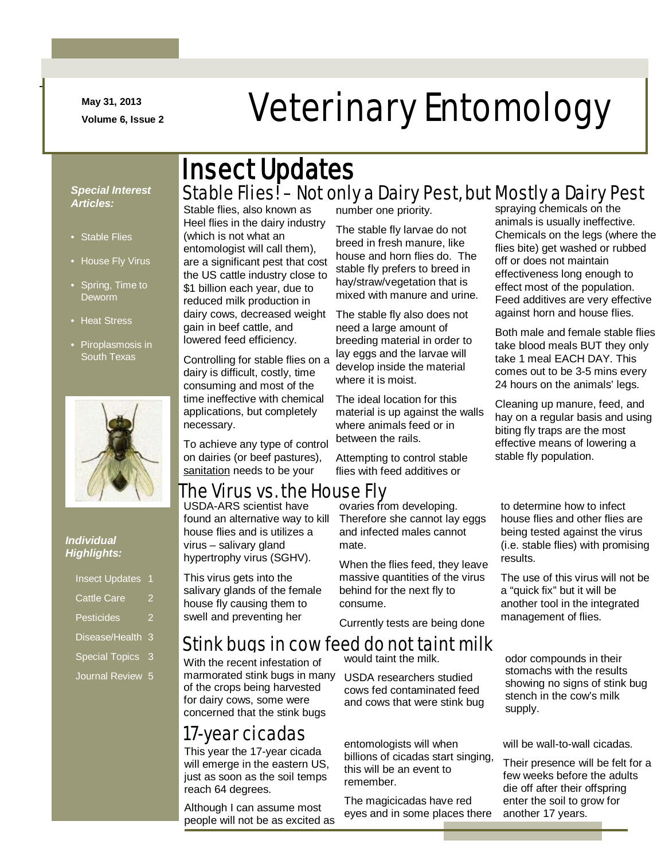**May 31, 2013**

-

# May 31, 2013<br>Veterinary Entomology

#### *Special Interest Articles:*

- Stable Flies
- House Fly Virus
- Spring, Time to Deworm
- Heat Stress
- Piroplasmosis in South Texas



#### *Individual Highlights:*

| <b>Insect Updates</b> | 1 |
|-----------------------|---|
| <b>Cattle Care</b>    |   |
| <b>Pesticides</b>     |   |
| Disease/Health        | 3 |
| <b>Special Topics</b> | 3 |
| Journal Review        | 5 |

### Stable Flies! – Not only a Dairy Pest, but Mostly a Dairy Pest Insect Updates

Stable flies, also known as Heel flies in the dairy industry (which is not what an entomologist will call them), are a significant pest that cost the US cattle industry close to \$1 billion each year, due to reduced milk production in dairy cows, decreased weight gain in beef cattle, and lowered feed efficiency.

Controlling for stable flies on a dairy is difficult, costly, time consuming and most of the time ineffective with chemical applications, but completely necessary.

To achieve any type of control on dairies (or beef pastures), sanitation needs to be your

#### The Virus vs. the House Fly

USDA-ARS scientist have found an alternative way to kill house flies and is utilizes a virus – salivary gland hypertrophy virus (SGHV).

This virus gets into the salivary glands of the female house fly causing them to swell and preventing her

With the recent infestation of marmorated stink bugs in many of the crops being harvested for dairy cows, some were concerned that the stink bugs

number one priority.

The stable fly larvae do not breed in fresh manure, like house and horn flies do. The stable fly prefers to breed in hay/straw/vegetation that is mixed with manure and urine.

The stable fly also does not need a large amount of breeding material in order to lay eggs and the larvae will develop inside the material where it is moist.

The ideal location for this material is up against the walls where animals feed or in between the rails.

Attempting to control stable flies with feed additives or

ovaries from developing. Therefore she cannot lay eggs and infected males cannot mate.

When the flies feed, they leave massive quantities of the virus

Currently tests are being done

#### Stink bugs in cow feed do not taint milk

would taint the milk.

USDA researchers studied cows fed contaminated feed and cows that were stink bug

**17-year cicadas**<br>
entomologists will when billions of cicadas start singing, this will be an event to remember.

> The magicicadas have red eyes and in some places there

spraying chemicals on the animals is usually ineffective. Chemicals on the legs (where the flies bite) get washed or rubbed off or does not maintain effectiveness long enough to effect most of the population. Feed additives are very effective against horn and house flies.

Both male and female stable flies take blood meals BUT they only take 1 meal EACH DAY. This comes out to be 3-5 mins every 24 hours on the animals' legs.

Cleaning up manure, feed, and hay on a regular basis and using biting fly traps are the most effective means of lowering a stable fly population.

to determine how to infect house flies and other flies are being tested against the virus (i.e. stable flies) with promising results.

The use of this virus will not be a "quick fix" but it will be another tool in the integrated management of flies.

odor compounds in their stomachs with the results showing no signs of stink bug stench in the cow's milk supply.

will be wall-to-wall cicadas.

Their presence will be felt for a few weeks before the adults die off after their offspring enter the soil to grow for another 17 years.

Although I can assume most people will not be as excited as

reach 64 degrees.

This year the 17-year cicada will emerge in the eastern US, just as soon as the soil temps

behind for the next fly to consume.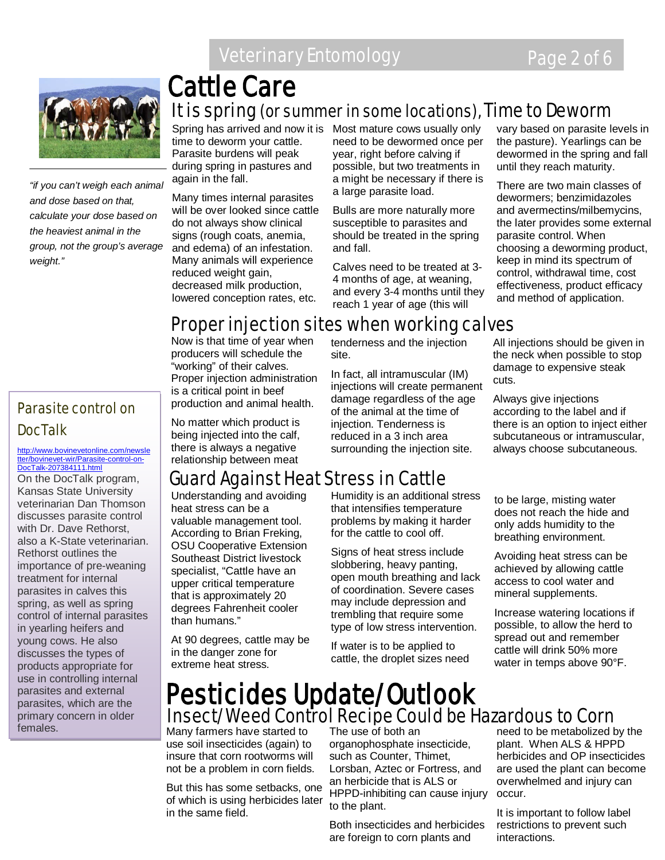

*"if you can't weigh each animal and dose based on that, calculate your dose based on the heaviest animal in the group, not the group's average* 

### It is spring (or summer in some locations), Time to Deworm Cattle Care

time to deworm your cattle. Parasite burdens will peak during spring in pastures and again in the fall.

Many times internal parasites will be over looked since cattle do not always show clinical signs (rough coats, anemia, and edema) of an infestation. Many animals will experience reduced weight gain, decreased milk production, lowered conception rates, etc.

Spring has arrived and now it is Most mature cows usually only need to be dewormed once per year, right before calving if possible, but two treatments in a might be necessary if there is a large parasite load.

> Bulls are more naturally more susceptible to parasites and should be treated in the spring and fall.

Calves need to be treated at 3- 4 months of age, at weaning, and every 3-4 months until they reach 1 year of age (this will

tenderness and the injection

In fact, all intramuscular (IM) injections will create permanent damage regardless of the age of the animal at the time of injection. Tenderness is reduced in a 3 inch area surrounding the injection site.

vary based on parasite levels in the pasture). Yearlings can be dewormed in the spring and fall until they reach maturity.

There are two main classes of dewormers; benzimidazoles and avermectins/milbemycins, the later provides some external parasite control. When choosing a deworming product, keep in mind its spectrum of control, withdrawal time, cost effectiveness, product efficacy and method of application.

### Proper injection sites when working calves

site.

Now is that time of year when producers will schedule the "working" of their calves. Proper injection administration is a critical point in beef production and animal health.

No matter which product is being injected into the calf, there is always a negative relationship between meat

### Guard Against Heat Stress in Cattle

Understanding and avoiding heat stress can be a valuable management tool. According to Brian Freking, OSU Cooperative Extension Southeast District livestock specialist, "Cattle have an upper critical temperature that is approximately 20 degrees Fahrenheit cooler than humans."

At 90 degrees, cattle may be in the danger zone for extreme heat stress.

Humidity is an additional stress that intensifies temperature problems by making it harder for the cattle to cool off.

Signs of heat stress include slobbering, heavy panting, open mouth breathing and lack of coordination. Severe cases may include depression and trembling that require some type of low stress intervention.

If water is to be applied to cattle, the droplet sizes need All injections should be given in the neck when possible to stop damage to expensive steak cuts.

Always give injections according to the label and if there is an option to inject either subcutaneous or intramuscular, always choose subcutaneous.

 to be large, misting water ູ້ breathing environment. does not reach the hide and only adds humidity to the

Avoiding heat stress can be achieved by allowing cattle access to cool water and mineral supplements.

Increase watering locations if possible, to allow the herd to spread out and remember cattle will drink 50% more water in temps above 90°F.

### Insect/Weed Control Recipe Could be Hazardous to Corn Pesticides Update/Outlook

Many farmers have started to use soil insecticides (again) to insure that corn rootworms will not be a problem in corn fields.

But this has some setbacks, one of which is using herbicides later in the same field.

The use of both an organophosphate insecticide, such as Counter, Thimet, Lorsban, Aztec or Fortress, and an herbicide that is ALS or HPPD-inhibiting can cause injury to the plant.

Both insecticides and herbicides are foreign to corn plants and

need to be metabolized by the plant. When ALS & HPPD herbicides and OP insecticides are used the plant can become overwhelmed and injury can occur.

It is important to follow label restrictions to prevent such interactions.

#### Parasite control on DocTalk

*weight."*

#### [http://www.bovinevetonline.com/newsle](http://www.bovinevetonline.com/newsletter/bovinevet-wir/Parasite-control-on-DocTalk-207384111.html) [tter/bovinevet-wir/Parasite-control-on-](http://www.bovinevetonline.com/newsletter/bovinevet-wir/Parasite-control-on-DocTalk-207384111.html)[DocTalk-207384111.html](http://www.bovinevetonline.com/newsletter/bovinevet-wir/Parasite-control-on-DocTalk-207384111.html)

On the DocTalk program, Kansas State University veterinarian Dan Thomson discusses parasite control with Dr. Dave Rethorst, also a K-State veterinarian. Rethorst outlines the importance of pre-weaning treatment for internal parasites in calves this spring, as well as spring control of internal parasites in yearling heifers and young cows. He also discusses the types of products appropriate for use in controlling internal parasites and external parasites, which are the primary concern in older females.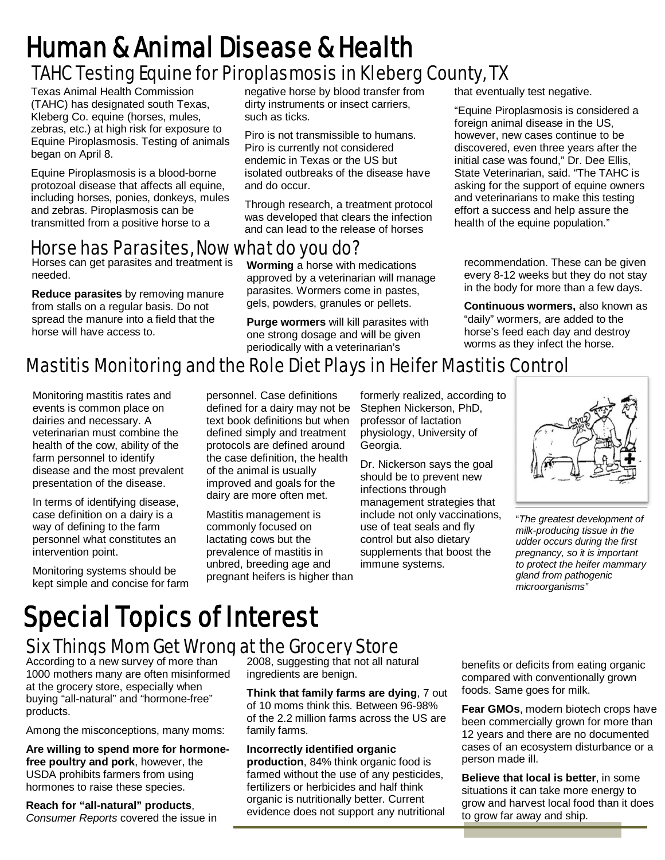## TAHC Testing Equine for Piroplasmosis in Kleberg County, TX Human & Animal Disease & Health

Texas Animal Health Commission (TAHC) has designated south Texas, Kleberg Co. equine (horses, mules, zebras, etc.) at high risk for exposure to Equine Piroplasmosis. Testing of animals began on April 8.

Equine Piroplasmosis is a blood-borne protozoal disease that affects all equine, including horses, ponies, donkeys, mules and zebras. Piroplasmosis can be transmitted from a positive horse to a

#### negative horse by blood transfer from dirty instruments or insect carriers. such as ticks.

Piro is not transmissible to humans. Piro is currently not considered endemic in Texas or the US but isolated outbreaks of the disease have and do occur.

Through research, a treatment protocol was developed that clears the infection and can lead to the release of horses

### Horse has Parasites, Now what do you do?

Horses can get parasites and treatment is needed.

**Reduce parasites** by removing manure from stalls on a regular basis. Do not spread the manure into a field that the horse will have access to.

**Worming** a horse with medications approved by a veterinarian will manage parasites. Wormers come in pastes, gels, powders, granules or pellets.

**Purge wormers** will kill parasites with one strong dosage and will be given periodically with a veterinarian's

that eventually test negative.

"Equine Piroplasmosis is considered a foreign animal disease in the US. however, new cases continue to be discovered, even three years after the initial case was found," Dr. Dee Ellis, State Veterinarian, said. "The TAHC is asking for the support of equine owners and veterinarians to make this testing effort a success and help assure the health of the equine population."

recommendation. These can be given every 8-12 weeks but they do not stay in the body for more than a few days.

**Continuous wormers,** also known as "daily" wormers, are added to the horse's feed each day and destroy worms as they infect the horse.

### Mastitis Monitoring and the Role Diet Plays in Heifer Mastitis Control

Monitoring mastitis rates and events is common place on dairies and necessary. A veterinarian must combine the health of the cow, ability of the farm personnel to identify disease and the most prevalent presentation of the disease.

In terms of identifying disease, case definition on a dairy is a way of defining to the farm personnel what constitutes an intervention point.

Monitoring systems should be kept simple and concise for farm personnel. Case definitions defined for a dairy may not be text book definitions but when defined simply and treatment protocols are defined around the case definition, the health of the animal is usually improved and goals for the dairy are more often met.

Mastitis management is commonly focused on lactating cows but the prevalence of mastitis in unbred, breeding age and pregnant heifers is higher than

formerly realized, according to Stephen Nickerson, PhD, professor of lactation physiology, University of Georgia.

Dr. Nickerson says the goal should be to prevent new infections through management strategies that include not only vaccinations, use of teat seals and fly control but also dietary supplements that boost the immune systems.



"*The greatest development of milk-producing tissue in the udder occurs during the first pregnancy, so it is important to protect the heifer mammary gland from pathogenic microorganisms"*

# Special Topics of Interest

## **Six Things Mom Get Wrong at the Grocery Store**<br>According to a new survey of more than 2008, suggesting that not all nai

1000 mothers many are often misinformed at the grocery store, especially when buying "all-natural" and "hormone-free" products.

Among the misconceptions, many moms:

**Are willing to spend more for hormonefree poultry and pork**, however, the USDA prohibits farmers from using hormones to raise these species.

**Reach for "all-natural" products**, *Consumer Reports* covered the issue in 2008, suggesting that not all natural ingredients are benign.

**Think that family farms are dying**, 7 out of 10 moms think this. Between 96-98% of the 2.2 million farms across the US are family farms.

**Incorrectly identified organic production**, 84% think organic food is farmed without the use of any pesticides, fertilizers or herbicides and half think organic is nutritionally better. Current evidence does not support any nutritional benefits or deficits from eating organic compared with conventionally grown foods. Same goes for milk.

**Fear GMOs**, modern biotech crops have been commercially grown for more than 12 years and there are no documented cases of an ecosystem disturbance or a person made ill.

**Believe that local is better**, in some situations it can take more energy to grow and harvest local food than it does to grow far away and ship.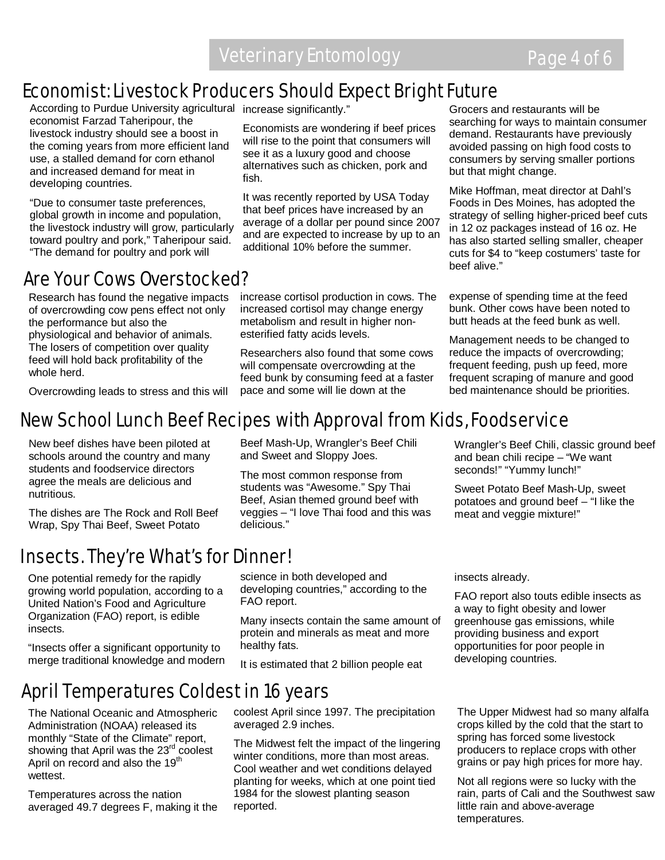### Economist: Livestock Producers Should Expect Bright Future

According to Purdue University agricultural increase significantly." economist Farzad Taheripour, the livestock industry should see a boost in the coming years from more efficient land use, a stalled demand for corn ethanol and increased demand for meat in developing countries.

"Due to consumer taste preferences, global growth in income and population, the livestock industry will grow, particularly toward poultry and pork," Taheripour said. "The demand for poultry and pork will

### Are Your Cows Overstocked?

Research has found the negative impacts of overcrowding cow pens effect not only the performance but also the physiological and behavior of animals. The losers of competition over quality feed will hold back profitability of the whole herd.

Overcrowding leads to stress and this will

Economists are wondering if beef prices will rise to the point that consumers will see it as a luxury good and choose alternatives such as chicken, pork and fish.

It was recently reported by USA Today that beef prices have increased by an average of a dollar per pound since 2007 and are expected to increase by up to an additional 10% before the summer.

increase cortisol production in cows. The increased cortisol may change energy metabolism and result in higher nonesterified fatty acids levels.

Researchers also found that some cows will compensate overcrowding at the feed bunk by consuming feed at a faster pace and some will lie down at the

Grocers and restaurants will be searching for ways to maintain consumer demand. Restaurants have previously avoided passing on high food costs to consumers by serving smaller portions but that might change.

Mike Hoffman, meat director at Dahl's Foods in Des Moines, has adopted the strategy of selling higher-priced beef cuts in 12 oz packages instead of 16 oz. He has also started selling smaller, cheaper cuts for \$4 to "keep costumers' taste for beef alive."

 expense of spending time at the feed bunk. Other cows have been noted to butt heads at the feed bunk as well.

 Management needs to be changed to reduce the impacts of overcrowding; frequent feeding, push up feed, more frequent scraping of manure and good bed maintenance should be priorities.

Wrangler's Beef Chili, classic ground beef

and bean chili recipe – "We want seconds!" "Yummy lunch!"

meat and veggie mixture!"

Sweet Potato Beef Mash-Up, sweet potatoes and ground beef – "I like the

### New School Lunch Beef Recipes with Approval from Kids, Foodservice

New beef dishes have been piloted at schools around the country and many students and foodservice directors agree the meals are delicious and nutritious.

The dishes are The Rock and Roll Beef Wrap, Spy Thai Beef, Sweet Potato

### Insects. They're What's for Dinner!

One potential remedy for the rapidly growing world population, according to a United Nation's Food and Agriculture Organization (FAO) report, is edible insects.

"Insects offer a significant opportunity to merge traditional knowledge and modern

### April Temperatures Coldest in 16 years

 The National Oceanic and Atmospheric Administration (NOAA) released its monthly "State of the Climate" report, showing that April was the 23<sup>rd</sup> coolest April on record and also the 19<sup>th</sup> wettest.

Temperatures across the nation averaged 49.7 degrees F, making it the

Beef Mash-Up, Wrangler's Beef Chili and Sweet and Sloppy Joes.

The most common response from students was "Awesome." Spy Thai Beef, Asian themed ground beef with veggies – "I love Thai food and this was delicious."

science in both developed and developing countries," according to the

Many insects contain the same amount of

FAO report.

protein and minerals as meat and more healthy fats.

It is estimated that 2 billion people eat

coolest April since 1997. The precipitation averaged 2.9 inches.

The Midwest felt the impact of the lingering winter conditions, more than most areas. Cool weather and wet conditions delayed planting for weeks, which at one point tied 1984 for the slowest planting season reported.

insects already.

FAO report also touts edible insects as a way to fight obesity and lower greenhouse gas emissions, while providing business and export opportunities for poor people in developing countries.

The Upper Midwest had so many alfalfa crops killed by the cold that the start to spring has forced some livestock producers to replace crops with other grains or pay high prices for more hay.

Not all regions were so lucky with the rain, parts of Cali and the Southwest saw little rain and above-average temperatures.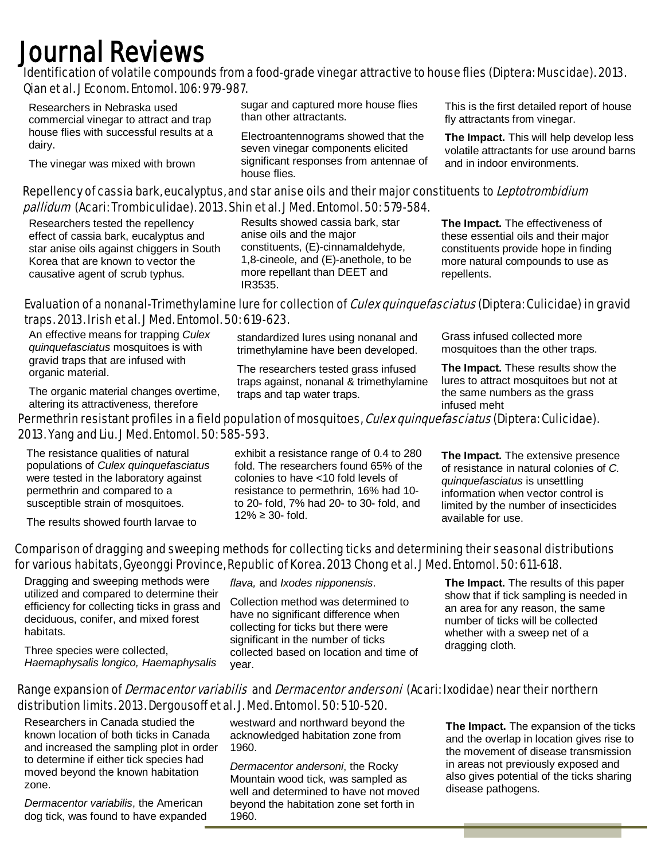## Journal Reviews<br>Identification of volatile compounds from a food-grade vinegar attractive to house flies (Diptera: Muscidae). 2013. Qian et al. J Econom. Entomol. 106: 979-987.

 Researchers in Nebraska used commercial vinegar to attract and trap house flies with successful results at a dairy.

The vinegar was mixed with brown

sugar and captured more house flies than other attractants.

Electroantennograms showed that the seven vinegar components elicited significant responses from antennae of house flies.

This is the first detailed report of house fly attractants from vinegar.

**The Impact.** This will help develop less volatile attractants for use around barns and in indoor environments.

#### Repellency of cassia bark, eucalyptus, and star anise oils and their major constituents to Leptotrombidium pallidum (Acari: Trombiculidae). 2013. Shin et al. J Med. Entomol. 50: 579-584.

Researchers tested the repellency effect of cassia bark, eucalyptus and star anise oils against chiggers in South Korea that are known to vector the causative agent of scrub typhus.

Results showed cassia bark, star anise oils and the major constituents, (E)-cinnamaldehyde, 1,8-cineole, and (E)-anethole, to be more repellant than DEET and IR3535.

**The Impact.** The effectiveness of these essential oils and their major constituents provide hope in finding more natural compounds to use as repellents.

#### Evaluation of a nonanal-Trimethylamine lure for collection of *Culex quinquefasciatus* (Diptera: Culicidae) in gravid traps. 2013. Irish et al. J Med. Entomol. 50: 619-623.

An effective means for trapping *Culex quinquefasciatus* mosquitoes is with gravid traps that are infused with organic material.

The organic material changes overtime, altering its attractiveness, therefore

standardized lures using nonanal and trimethylamine have been developed.

The researchers tested grass infused traps against, nonanal & trimethylamine traps and tap water traps.

Grass infused collected more mosquitoes than the other traps.

**The Impact.** These results show the lures to attract mosquitoes but not at the same numbers as the grass infused meht

#### Permethrin resistant profiles in a field population of mosquitoes, Culex quinquefasciatus (Diptera: Culicidae). 2013. Yang and Liu. J Med. Entomol. 50: 585-593.

The resistance qualities of natural populations of *Culex quinquefasciatus* were tested in the laboratory against permethrin and compared to a susceptible strain of mosquitoes.

The results showed fourth larvae to

#### Comparison of dragging and sweeping methods for collecting ticks and determining their seasonal distributions for various habitats, Gyeonggi Province, Republic of Korea. 2013 Chong et al. J Med. Entomol. 50: 611-618.

Dragging and sweeping methods were utilized and compared to determine their efficiency for collecting ticks in grass and deciduous, conifer, and mixed forest habitats.

Three species were collected, *Haemaphysalis longico, Haemaphysalis* 

exhibit a resistance range of 0.4 to 280 fold. The researchers found 65% of the colonies to have <10 fold levels of resistance to permethrin, 16% had 10 to 20- fold, 7% had 20- to 30- fold, and 12% ≥ 30- fold.

**The Impact.** The extensive presence of resistance in natural colonies of *C. quinquefasciatus* is unsettling information when vector control is limited by the number of insecticides available for use.

*flava,* and *Ixodes nipponensis*.

Collection method was determined to have no significant difference when collecting for ticks but there were significant in the number of ticks collected based on location and time of year.

**The Impact.** The results of this paper show that if tick sampling is needed in an area for any reason, the same number of ticks will be collected whether with a sweep net of a dragging cloth.

#### Range expansion of *Dermacentor variabilis* and *Dermacentor andersoni* (Acari: Ixodidae) near their northern distribution limits. 2013. Dergousoff et al. J. Med. Entomol. 50: 510-520.

Researchers in Canada studied the known location of both ticks in Canada and increased the sampling plot in order to determine if either tick species had moved beyond the known habitation zone.

*Dermacentor variabilis*, the American dog tick, was found to have expanded

westward and northward beyond the acknowledged habitation zone from 1960.

*Dermacentor andersoni*, the Rocky Mountain wood tick, was sampled as well and determined to have not moved beyond the habitation zone set forth in 1960.

**The Impact.** The expansion of the ticks and the overlap in location gives rise to the movement of disease transmission in areas not previously exposed and also gives potential of the ticks sharing disease pathogens.